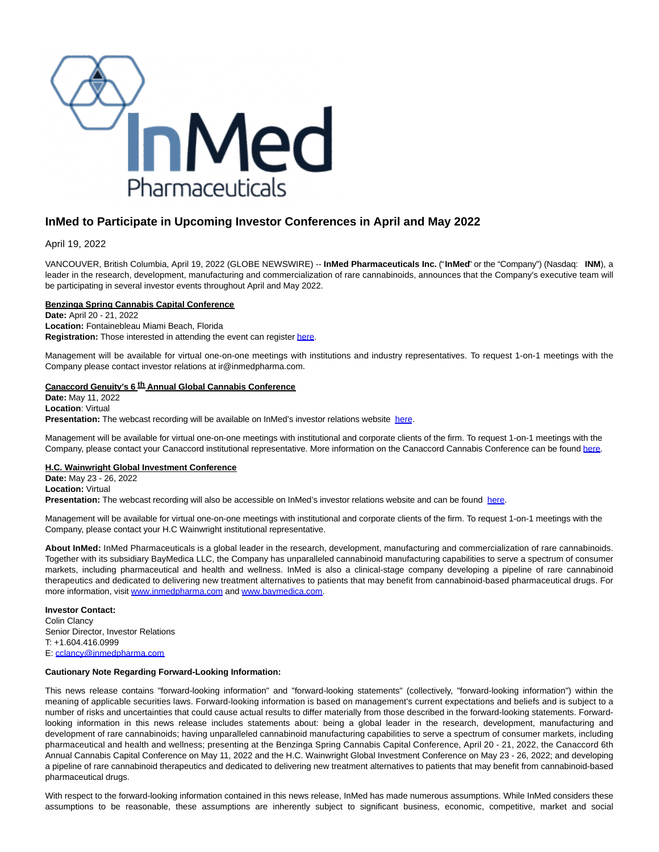

# **InMed to Participate in Upcoming Investor Conferences in April and May 2022**

April 19, 2022

VANCOUVER, British Columbia, April 19, 2022 (GLOBE NEWSWIRE) -- **InMed Pharmaceuticals Inc.** ("**InMed**" or the "Company") (Nasdaq: **INM**), a leader in the research, development, manufacturing and commercialization of rare cannabinoids, announces that the Company's executive team will be participating in several investor events throughout April and May 2022.

### **Benzinga Spring Cannabis Capital Conference**

**Date:** April 20 - 21, 2022 **Location:** Fontainebleau Miami Beach, Florida **Registration:** Those interested in attending the event can registe[r here.](https://www.globenewswire.com/Tracker?data=jmKuIVzkypziz1r6LWw-fF3NyDBL59Sxti3Fa0myi3iS8_FaLG6HU67DdU-yI0poM5iyqkAb4PenNiw690pgYVWEBDxYEhY_wyjBNVkMeAc=)

Management will be available for virtual one-on-one meetings with institutions and industry representatives. To request 1-on-1 meetings with the Company please contact investor relations at ir@inmedpharma.com.

## **Canaccord Genuity's 6 th Annual Global Cannabis Conference**

**Date:** May 11, 2022 **Location**: Virtual Presentation: The webcast recording will be available on InMed's investor relations website [here.](https://www.globenewswire.com/Tracker?data=4f5S3R4SmT6wHvlvgHpvBGyp05cRFxIga_MH6aAW__GTrpCWW4ADFOE6ReBKMYbflWerHcH9bjnXhG9WRq6MoeTVfcg88duuLJNw7Q5tXS3XtOO0jJ_05eU8wqJoz3iZFBkatcQYQ45eF1AkyDnqhdTzLen9jR7Q1Dp9DUWpHu1qeDr6MRHXZc0NgC3hdabU)

Management will be available for virtual one-on-one meetings with institutional and corporate clients of the firm. To request 1-on-1 meetings with the Company, please contact your Canaccord institutional representative. More information on the Canaccord Cannabis Conference can be found [here.](https://www.globenewswire.com/Tracker?data=p78_47yMsbxOMrNaLUf7w-dQuRDNEf42JTXo5Bk29zJol9heg1VEhRem4KzF-gMR9MuUhJnuXndzvzcFimfysyNhoncmjxYgodFi4cdyDoRKKr0MXfi9nj0RoRUSbk67NyuCHB4TR2LBPEKOtsy6pI3uMddOzgfkeOa_RNGZRec=)

#### **H.C. Wainwright Global Investment Conference**

**Date:** May 23 - 26, 2022 **Location:** Virtual **Presentation:** The webcast recording will also be accessible on InMed's investor relations website and can be found [here.](https://www.globenewswire.com/Tracker?data=wN4I4Z0YUOHHjLaH_eLEXuz1aW6GhdZML-lkF3byQMWSMNrj1Gvy3g31SX72epXpCPZZzQraXtXcuT_zjjim3sNmAn-8hS8YVSRO87-tn6JxTCs0fFBQ3mtFjanFPg921jivQ1aNpkpAuwXlUS4QmOqvtyGcd2h7ujiHeVvsqPA=)

Management will be available for virtual one-on-one meetings with institutional and corporate clients of the firm. To request 1-on-1 meetings with the Company, please contact your H.C Wainwright institutional representative.

**About InMed:** InMed Pharmaceuticals is a global leader in the research, development, manufacturing and commercialization of rare cannabinoids. Together with its subsidiary BayMedica LLC, the Company has unparalleled cannabinoid manufacturing capabilities to serve a spectrum of consumer markets, including pharmaceutical and health and wellness. InMed is also a clinical-stage company developing a pipeline of rare cannabinoid therapeutics and dedicated to delivering new treatment alternatives to patients that may benefit from cannabinoid-based pharmaceutical drugs. For more information, visit [www.inmedpharma.com a](https://www.globenewswire.com/Tracker?data=TIo7hzXrYN-G9n6ntGK9g6zx3wz2s7li3JXjw5joZTs-S1Rv3SR4ynh0Ucccz6d4Rnb_3ePywSNVbTJTgRycH_JV8hipi1-YZiLB-b6gTms=)nd [www.baymedica.com.](https://www.globenewswire.com/Tracker?data=9fGPzfMqN_MU2_H_9uVPGboePY4_mm49wr_rvkH3S0H2eBKAK832wy3si_PI4nuwEv13CPCJsHMu4Y5bI-gTX2NCyCfsM9K9zww1rHmAQMA=)

**Investor Contact:** Colin Clancy Senior Director, Investor Relations T: +1.604.416.0999 E: [cclancy@inmedpharma.com](https://www.globenewswire.com/Tracker?data=Wghq-6NQSVYgiG8F78EqlmS5K-8qvcJUPcEhEJ62LXW3kAiKZs1a-Ij_dz_t254fQoodBHqFn_SCHLiIp5xz8V-zwMvMEq4hQVDoc2XaE2w=)

#### **Cautionary Note Regarding Forward-Looking Information:**

This news release contains "forward-looking information" and "forward-looking statements" (collectively, "forward-looking information") within the meaning of applicable securities laws. Forward-looking information is based on management's current expectations and beliefs and is subject to a number of risks and uncertainties that could cause actual results to differ materially from those described in the forward-looking statements. Forwardlooking information in this news release includes statements about: being a global leader in the research, development, manufacturing and development of rare cannabinoids; having unparalleled cannabinoid manufacturing capabilities to serve a spectrum of consumer markets, including pharmaceutical and health and wellness; presenting at the Benzinga Spring Cannabis Capital Conference, April 20 - 21, 2022, the Canaccord 6th Annual Cannabis Capital Conference on May 11, 2022 and the H.C. Wainwright Global Investment Conference on May 23 - 26, 2022; and developing a pipeline of rare cannabinoid therapeutics and dedicated to delivering new treatment alternatives to patients that may benefit from cannabinoid-based pharmaceutical drugs.

With respect to the forward-looking information contained in this news release. InMed has made numerous assumptions. While InMed considers these assumptions to be reasonable, these assumptions are inherently subject to significant business, economic, competitive, market and social